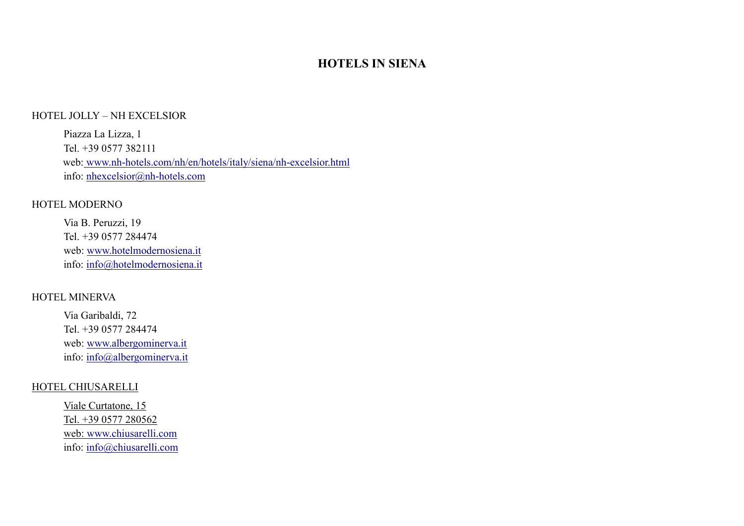## **HOTELS IN SIENA**

#### HOTEL JOLLY – NH EXCELSIOR

Piazza La Lizza, 1 Tel. +39 0577 382111 web: [www.nh-hotels.com/nh/en/hotels/italy/siena/nh-excelsior.html](http://www.nh-hotels.com/nh/en/hotels/italy/siena/nh-excelsior.html) info: [nhexcelsior@nh-hotels.com](mailto:nhexcelsior@nh-hotels.com)

#### HOTEL MODERNO

Via B. Peruzzi, 19 Tel. +39 0577 284474 web: [www.hotelmodernosiena.it](http://www.hotelmodernosiena.it/) info: [info@hotelmodernosiena.it](mailto:info@hotelmodernosiena.it)

#### HOTEL MINERVA

Via Garibaldi, 72 Tel. +39 0577 284474 web: [www.albergominerva.it](http://www.albergominerva.it/) info: [info@albergominerva.it](mailto:info@albergominerva.it) 

### HOTEL CHIUSARELLI

Viale Curtatone, 15 Tel. +39 0577 280562 web: [www.chiusarelli.com](http://www.chiusarelli.com/) info: [info@chiusarelli.com](mailto:info@chiusarelli.com)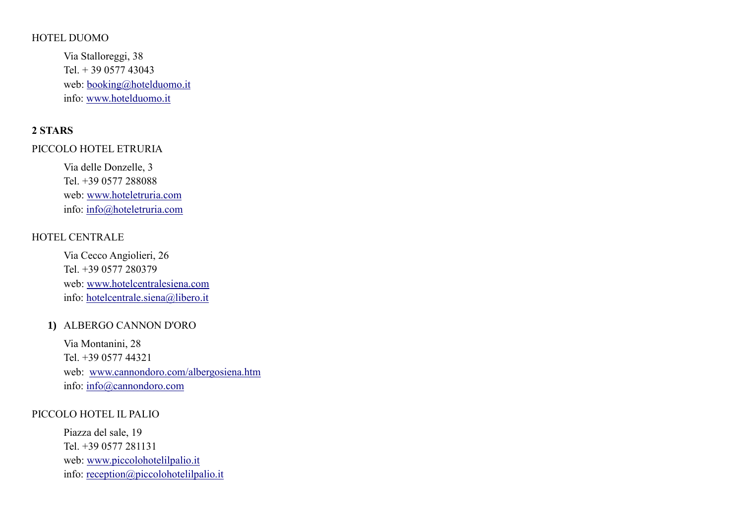#### HOTEL DUOMO

Via Stalloreggi, 38 Tel. + 39 0577 43043 web: [booking@hotelduomo.it](mailto:booking@hotelduomo.it) info: [www.hotelduomo.it](http://www.hotelduomo.it/)

## **2 STARS**

#### PICCOLO HOTEL ETRURIA

Via delle Donzelle, 3 Tel. +39 0577 288088 web: [www.hoteletruria.com](http://www.hoteletruria.com/) info: [info@hoteletruria.com](mailto:info@hoteletruria.com)

## HOTEL CENTRALE

Via Cecco Angiolieri, 26 Tel. +39 0577 280379 web: [www.hotelcentralesiena.com](http://www.hotelcentralesiena.com/) info: [hotelcentrale.siena@libero.it](mailto:hotelcentrale.siena@libero.it)

### **1)** ALBERGO CANNON D'ORO

Via Montanini, 28 Tel. +39 0577 44321 web: [www.cannondoro.com/albergosiena.htm](http://www.cannondoro.com/albergosiena.htm) info: [info@cannondoro.com](mailto:info@cannondoro.com)

#### PICCOLO HOTEL IL PALIO

Piazza del sale, 19 Tel. +39 0577 281131 web: [www.piccolohotelilpalio.it](http://www.piccolohotelilpalio.it/) info: [reception@piccolohotelilpalio.it](mailto:reception@piccolohotelilpalio.it)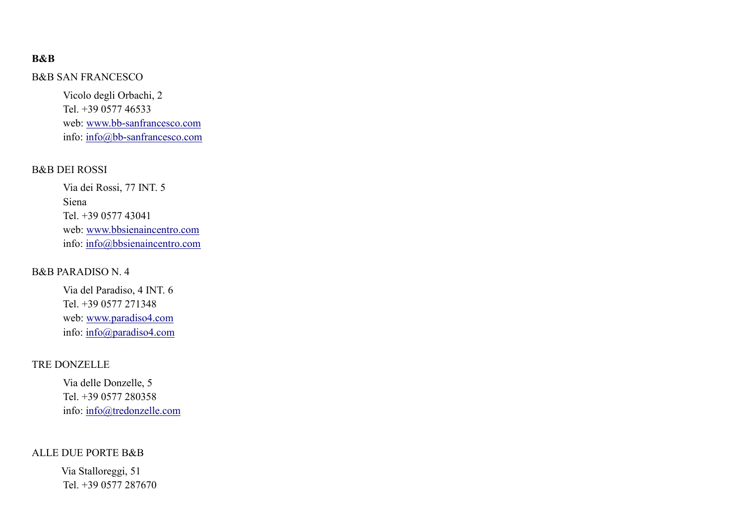## **B&B**

#### B&B SAN FRANCESCO

Vicolo degli Orbachi, 2 Tel. +39 0577 46533 web: [www.bb-sanfrancesco.com](http://www.bb-sanfrancesco.com/) info: [info@bb-sanfrancesco.com](mailto:info@bb-sanfrancesco.com)

#### B&B DEI ROSSI

Via dei Rossi, 77 INT. 5 Siena Tel. +39 0577 43041 web: [www.bbsienaincentro.com](http://www.bbsienaincentro.com/) info: [info@bbsienaincentro.com](mailto:info@bbsienaincentro.com)

### B&B PARADISO N. 4

Via del Paradiso, 4 INT. 6 Tel. +39 0577 271348 web: [www.paradiso4.com](http://www.paradiso4.com/) info: [info@paradiso4.com](mailto:info@paradiso4.com)

### TRE DONZELLE

Via delle Donzelle, 5 Tel. +39 0577 280358 info: [info@tredonzelle.com](mailto:info@tredonzelle.com) 

#### ALLE DUE PORTE B&B

 Via Stalloreggi, 51 Tel. +39 0577 287670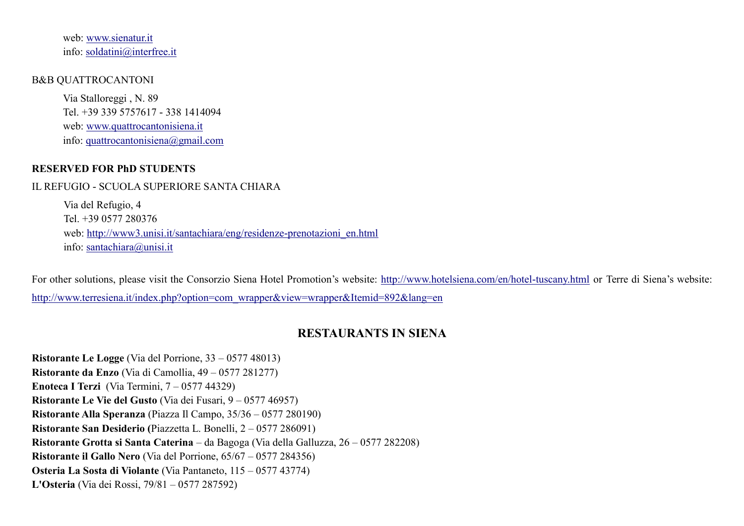web: [www.sienatur.it](http://www.sienatur.it/) info: [soldatini@interfree.it](mailto:soldatini@interfree.it)

#### B&B QUATTROCANTONI

Via Stalloreggi , N. 89 Tel. +39 339 5757617 - 338 1414094 web: [www.quattrocantonisiena.it](http://www.quattrocantonisiena.it/) info: [quattrocantonisiena@gmail.com](mailto:quattrocantonisiena@gmail.com)

### **RESERVED FOR PhD STUDENTS**

#### IL REFUGIO - SCUOLA SUPERIORE SANTA CHIARA

Via del Refugio, 4 Tel. +39 0577 280376 web: [http://www3.unisi.it/santachiara/eng/residenze-prenotazioni\\_en.html](http://www3.unisi.it/santachiara/eng/residenze-prenotazioni_en.html) info: [santachiara@unisi.it](mailto:santachiara@unisi.it)

For other solutions, please visit the Consorzio Siena Hotel Promotion's website:<http://www.hotelsiena.com/en/hotel-tuscany.html> or Terre di Siena's website: [http://www.terresiena.it/index.php?option=com\\_wrapper&view=wrapper&Itemid=892&lang=en](http://www.terresiena.it/index.php?option=com_wrapper&view=wrapper&Itemid=892&lang=en)

## **RESTAURANTS IN SIENA**

**Ristorante Le Logge** (Via del Porrione, 33 – 0577 48013) **Ristorante da Enzo** (Via di Camollia, 49 – 0577 281277) **Enoteca I Terzi** (Via Termini, 7 – 0577 44329) **Ristorante Le Vie del Gusto** (Via dei Fusari, 9 – 0577 46957) **Ristorante Alla Speranza** (Piazza Il Campo, 35/36 – 0577 280190) **Ristorante San Desiderio (**Piazzetta L. Bonelli, 2 – 0577 286091) **Ristorante Grotta si Santa Caterina** – da Bagoga (Via della Galluzza, 26 – 0577 282208) **Ristorante il Gallo Nero** (Via del Porrione, 65/67 – 0577 284356) **Osteria La Sosta di Violante** (Via Pantaneto, 115 – 0577 43774) **L'Osteria** (Via dei Rossi, 79/81 – 0577 287592)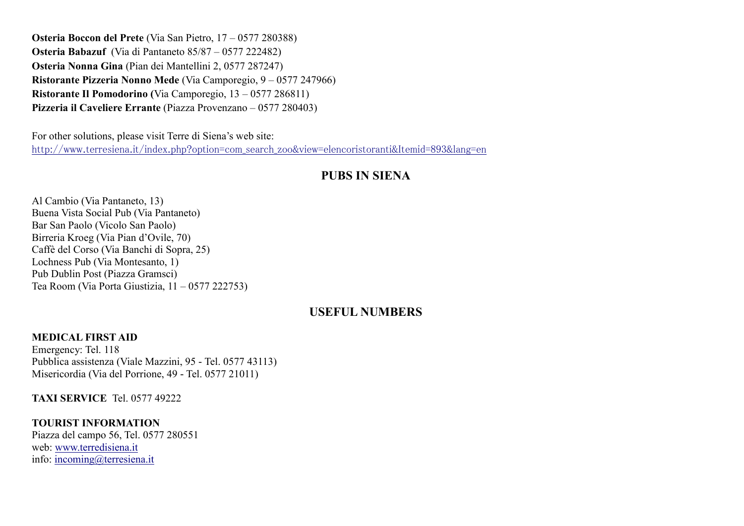**Osteria Boccon del Prete** (Via San Pietro, 17 – 0577 280388) **Osteria Babazuf** (Via di Pantaneto 85/87 – 0577 222482) **Osteria Nonna Gina** (Pian dei Mantellini 2, 0577 287247) **Ristorante Pizzeria Nonno Mede** (Via Camporegio, 9 – 0577 247966) **Ristorante Il Pomodorino (**Via Camporegio, 13 – 0577 286811) **Pizzeria il Caveliere Errante** (Piazza Provenzano – 0577 280403)

For other solutions, please visit Terre di Siena's web site: [http://www.terresiena.it/index.php?option=com\\_search\\_zoo&view=elencoristoranti&Itemid=893&lang=en](http://www.terresiena.it/index.php?option=com_search_zoo&view=elencoristoranti&Itemid=893&lang=en)

## **PUBS IN SIENA**

Al Cambio (Via Pantaneto, 13) Buena Vista Social Pub (Via Pantaneto) Bar San Paolo (Vicolo San Paolo) Birreria Kroeg (Via Pian d'Ovile, 70) Caffè del Corso (Via Banchi di Sopra, 25) Lochness Pub (Via Montesanto, 1) Pub Dublin Post (Piazza Gramsci) Tea Room (Via Porta Giustizia, 11 – 0577 222753)

## **USEFUL NUMBERS**

#### **MEDICAL FIRST AID**

Emergency: Tel. 118 Pubblica assistenza (Viale Mazzini, 95 - Tel. 0577 43113) Misericordia (Via del Porrione, 49 - Tel. 0577 21011)

**TAXI SERVICE** Tel. 0577 49222

**TOURIST INFORMATION**  Piazza del campo 56, Tel. 0577 280551 web: [www.terredisiena.it](http://www.terredisiena.it/) info: [incoming@terresiena.it](mailto:incoming@terresiena.it)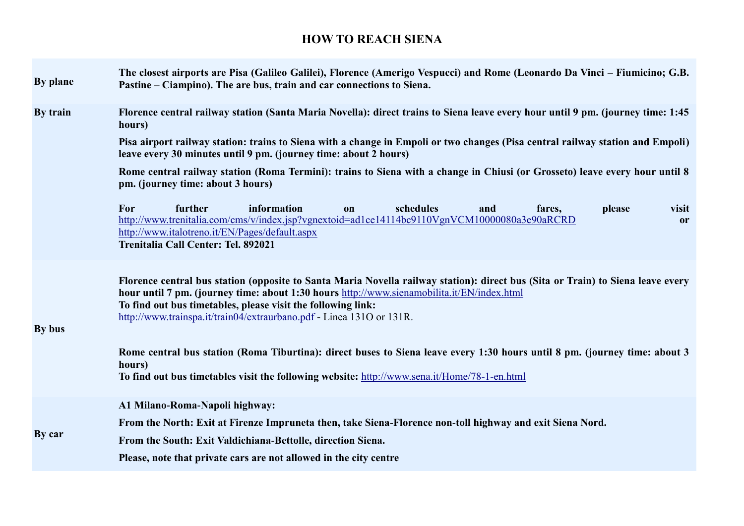# **HOW TO REACH SIENA**

| By plane | The closest airports are Pisa (Galileo Galilei), Florence (Amerigo Vespucci) and Rome (Leonardo Da Vinci – Fiumicino; G.B.<br>Pastine – Ciampino). The are bus, train and car connections to Siena.                                                                                                                                                                   |
|----------|-----------------------------------------------------------------------------------------------------------------------------------------------------------------------------------------------------------------------------------------------------------------------------------------------------------------------------------------------------------------------|
| By train | Florence central railway station (Santa Maria Novella): direct trains to Siena leave every hour until 9 pm. (journey time: 1:45<br>hours)                                                                                                                                                                                                                             |
|          | Pisa airport railway station: trains to Siena with a change in Empoli or two changes (Pisa central railway station and Empoli)<br>leave every 30 minutes until 9 pm. (journey time: about 2 hours)                                                                                                                                                                    |
|          | Rome central railway station (Roma Termini): trains to Siena with a change in Chiusi (or Grosseto) leave every hour until 8<br>pm. (journey time: about 3 hours)                                                                                                                                                                                                      |
|          | further<br>information<br>schedules<br>For<br>and<br>please<br>visit<br>fares,<br>on<br>http://www.trenitalia.com/cms/v/index.jsp?vgnextoid=ad1ce14114bc9110VgnVCM10000080a3e90aRCRD<br><b>or</b><br>http://www.italotreno.it/EN/Pages/default.aspx<br>Trenitalia Call Center: Tel. 892021                                                                            |
| By bus   | Florence central bus station (opposite to Santa Maria Novella railway station): direct bus (Sita or Train) to Siena leave every<br>hour until 7 pm. (journey time: about 1:30 hours http://www.sienamobilita.it/EN/index.html<br>To find out bus timetables, please visit the following link:<br>http://www.trainspa.it/train04/extraurbano.pdf - Linea 1310 or 131R. |
|          | Rome central bus station (Roma Tiburtina): direct buses to Siena leave every 1:30 hours until 8 pm. (journey time: about 3<br>hours)<br>To find out bus timetables visit the following website: http://www.sena.it/Home/78-1-en.html                                                                                                                                  |
| By car   | A1 Milano-Roma-Napoli highway:                                                                                                                                                                                                                                                                                                                                        |
|          | From the North: Exit at Firenze Impruneta then, take Siena-Florence non-toll highway and exit Siena Nord.                                                                                                                                                                                                                                                             |
|          | From the South: Exit Valdichiana-Bettolle, direction Siena.                                                                                                                                                                                                                                                                                                           |
|          | Please, note that private cars are not allowed in the city centre                                                                                                                                                                                                                                                                                                     |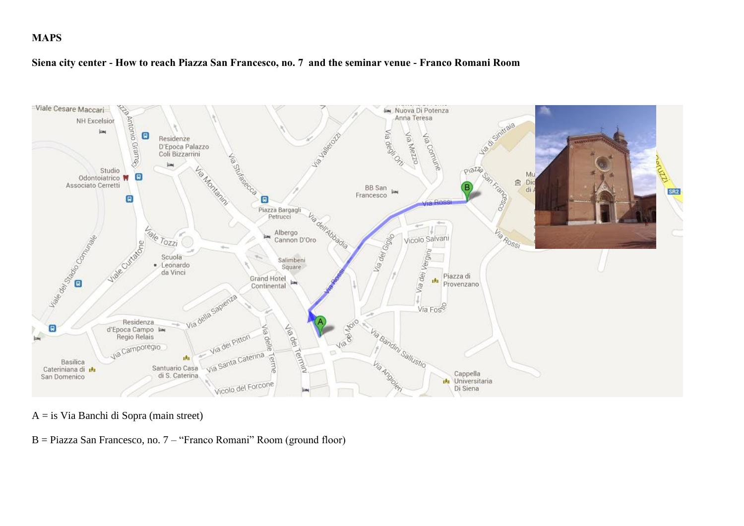### **MAPS**

#### **Siena city center - How to reach Piazza San Francesco, no. 7 and the seminar venue - Franco Romani Room**



A = is Via Banchi di Sopra (main street)

B = Piazza San Francesco, no. 7 – "Franco Romani" Room (ground floor)